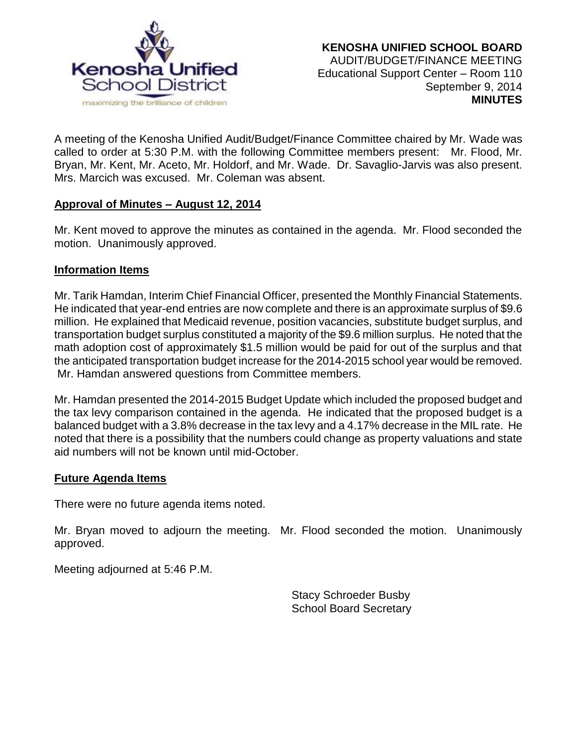

A meeting of the Kenosha Unified Audit/Budget/Finance Committee chaired by Mr. Wade was called to order at 5:30 P.M. with the following Committee members present: Mr. Flood, Mr. Bryan, Mr. Kent, Mr. Aceto, Mr. Holdorf, and Mr. Wade. Dr. Savaglio-Jarvis was also present. Mrs. Marcich was excused. Mr. Coleman was absent.

## **Approval of Minutes – August 12, 2014**

Mr. Kent moved to approve the minutes as contained in the agenda. Mr. Flood seconded the motion. Unanimously approved.

## **Information Items**

Mr. Tarik Hamdan, Interim Chief Financial Officer, presented the Monthly Financial Statements. He indicated that year-end entries are now complete and there is an approximate surplus of \$9.6 million. He explained that Medicaid revenue, position vacancies, substitute budget surplus, and transportation budget surplus constituted a majority of the \$9.6 million surplus. He noted that the math adoption cost of approximately \$1.5 million would be paid for out of the surplus and that the anticipated transportation budget increase for the 2014-2015 school year would be removed. Mr. Hamdan answered questions from Committee members.

Mr. Hamdan presented the 2014-2015 Budget Update which included the proposed budget and the tax levy comparison contained in the agenda. He indicated that the proposed budget is a balanced budget with a 3.8% decrease in the tax levy and a 4.17% decrease in the MIL rate. He noted that there is a possibility that the numbers could change as property valuations and state aid numbers will not be known until mid-October.

## **Future Agenda Items**

There were no future agenda items noted.

Mr. Bryan moved to adjourn the meeting. Mr. Flood seconded the motion. Unanimously approved.

Meeting adjourned at 5:46 P.M.

Stacy Schroeder Busby School Board Secretary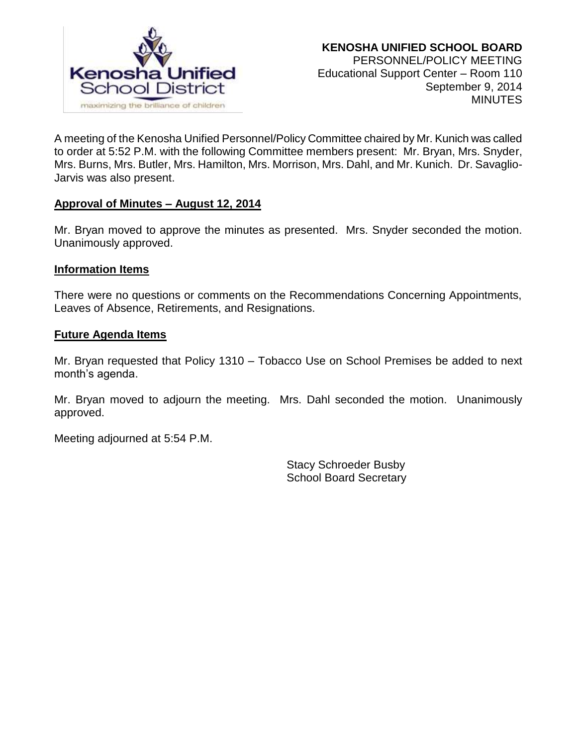

A meeting of the Kenosha Unified Personnel/Policy Committee chaired by Mr. Kunich was called to order at 5:52 P.M. with the following Committee members present: Mr. Bryan, Mrs. Snyder, Mrs. Burns, Mrs. Butler, Mrs. Hamilton, Mrs. Morrison, Mrs. Dahl, and Mr. Kunich. Dr. Savaglio-Jarvis was also present.

## **Approval of Minutes – August 12, 2014**

Mr. Bryan moved to approve the minutes as presented. Mrs. Snyder seconded the motion. Unanimously approved.

## **Information Items**

There were no questions or comments on the Recommendations Concerning Appointments, Leaves of Absence, Retirements, and Resignations.

## **Future Agenda Items**

Mr. Bryan requested that Policy 1310 – Tobacco Use on School Premises be added to next month's agenda.

Mr. Bryan moved to adjourn the meeting. Mrs. Dahl seconded the motion. Unanimously approved.

Meeting adjourned at 5:54 P.M.

Stacy Schroeder Busby School Board Secretary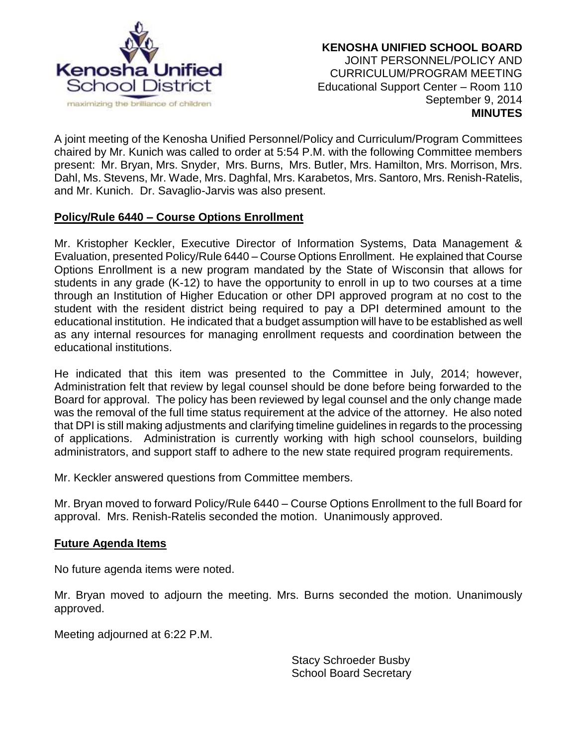

A joint meeting of the Kenosha Unified Personnel/Policy and Curriculum/Program Committees chaired by Mr. Kunich was called to order at 5:54 P.M. with the following Committee members present: Mr. Bryan, Mrs. Snyder, Mrs. Burns, Mrs. Butler, Mrs. Hamilton, Mrs. Morrison, Mrs. Dahl, Ms. Stevens, Mr. Wade, Mrs. Daghfal, Mrs. Karabetos, Mrs. Santoro, Mrs. Renish-Ratelis, and Mr. Kunich. Dr. Savaglio-Jarvis was also present.

# **Policy/Rule 6440 – Course Options Enrollment**

Mr. Kristopher Keckler, Executive Director of Information Systems, Data Management & Evaluation, presented Policy/Rule 6440 – Course Options Enrollment. He explained that Course Options Enrollment is a new program mandated by the State of Wisconsin that allows for students in any grade (K-12) to have the opportunity to enroll in up to two courses at a time through an Institution of Higher Education or other DPI approved program at no cost to the student with the resident district being required to pay a DPI determined amount to the educational institution. He indicated that a budget assumption will have to be established as well as any internal resources for managing enrollment requests and coordination between the educational institutions.

He indicated that this item was presented to the Committee in July, 2014; however, Administration felt that review by legal counsel should be done before being forwarded to the Board for approval. The policy has been reviewed by legal counsel and the only change made was the removal of the full time status requirement at the advice of the attorney. He also noted that DPI is still making adjustments and clarifying timeline guidelines in regards to the processing of applications. Administration is currently working with high school counselors, building administrators, and support staff to adhere to the new state required program requirements.

Mr. Keckler answered questions from Committee members.

Mr. Bryan moved to forward Policy/Rule 6440 – Course Options Enrollment to the full Board for approval. Mrs. Renish-Ratelis seconded the motion. Unanimously approved.

## **Future Agenda Items**

No future agenda items were noted.

Mr. Bryan moved to adjourn the meeting. Mrs. Burns seconded the motion. Unanimously approved.

Meeting adjourned at 6:22 P.M.

Stacy Schroeder Busby School Board Secretary